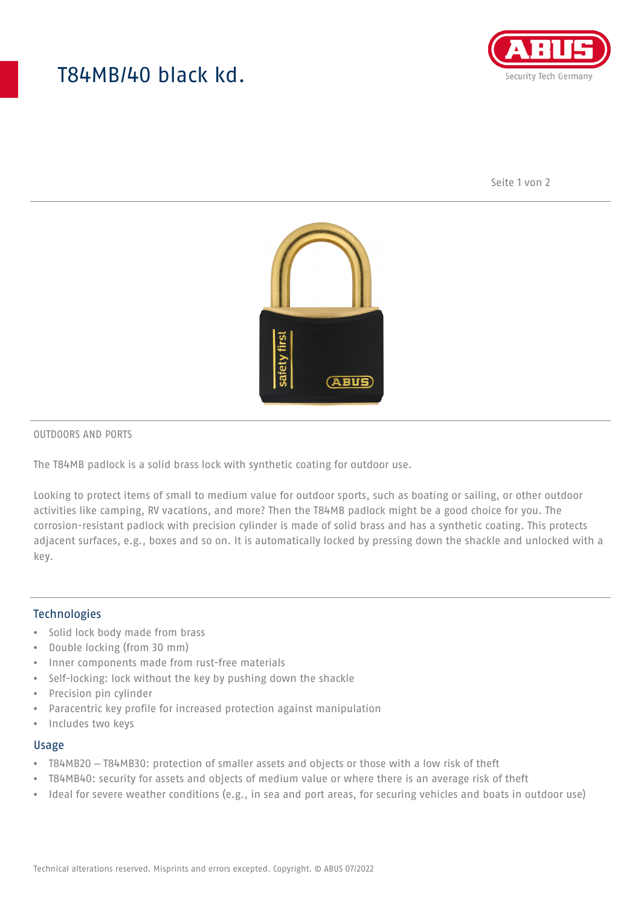# T84MB/40 black kd.



Seite 1 von 2



#### OUTDOORS AND PORTS

The T84MB padlock is a solid brass lock with synthetic coating for outdoor use.

Looking to protect items of small to medium value for outdoor sports, such as boating or sailing, or other outdoor activities like camping, RV vacations, and more? Then the T84MB padlock might be a good choice for you. The corrosion-resistant padlock with precision cylinder is made of solid brass and has a synthetic coating. This protects adjacent surfaces, e.g., boxes and so on. It is automatically locked by pressing down the shackle and unlocked with a key.

#### Technologies

- Solid lock body made from brass
- Double locking (from 30 mm)
- Inner components made from rust-free materials
- Self-locking: lock without the key by pushing down the shackle
- Precision pin cylinder
- Paracentric key profile for increased protection against manipulation
- Includes two keys

#### Usage

- T84MB20 T84MB30: protection of smaller assets and objects or those with a low risk of theft
- T84MB40: security for assets and objects of medium value or where there is an average risk of theft
- Ideal for severe weather conditions (e.g., in sea and port areas, for securing vehicles and boats in outdoor use)